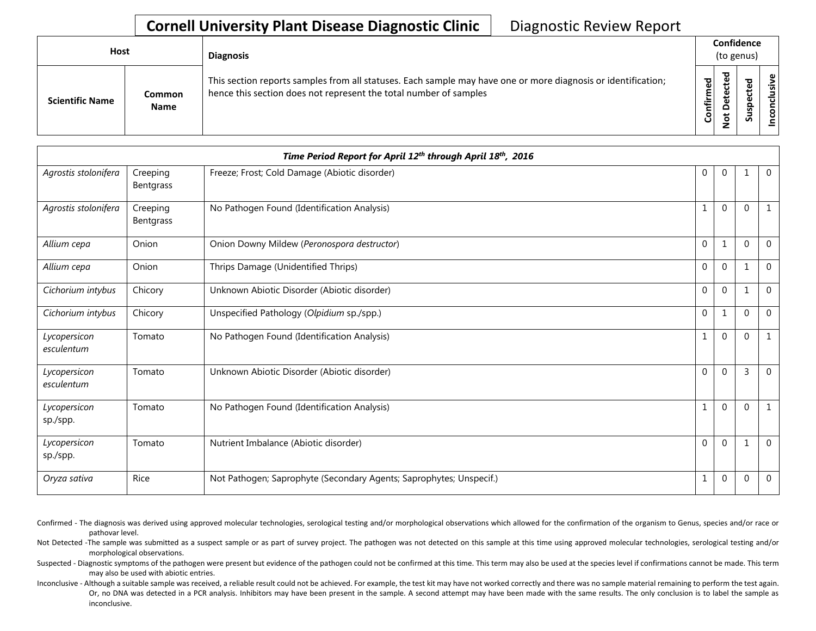## **Cornell University Plant Disease Diagnostic Clinic** | Diagnostic Review Report

| Host                   |                              | <b>Diagnosis</b>                                                                                                                                                                   |           |   | Confidence<br>(to genus) |                  |  |
|------------------------|------------------------------|------------------------------------------------------------------------------------------------------------------------------------------------------------------------------------|-----------|---|--------------------------|------------------|--|
| <b>Scientific Name</b> | <b>Common</b><br><b>Name</b> | This section reports samples from all statuses. Each sample may have one or more diagnosis or identification;<br>hence this section does not represent the total number of samples | Confirmed | ≖ | s                        | usive<br>᠊ᠣ<br>g |  |

| Time Period Report for April 12th through April 18th, 2016 |                              |                                                                     |              |              |                |                |  |
|------------------------------------------------------------|------------------------------|---------------------------------------------------------------------|--------------|--------------|----------------|----------------|--|
| Agrostis stolonifera                                       | Creeping<br><b>Bentgrass</b> | Freeze; Frost; Cold Damage (Abiotic disorder)                       | 0            | 0            | $\mathbf 1$    | $\mathbf 0$    |  |
| Agrostis stolonifera                                       | Creeping<br>Bentgrass        | No Pathogen Found (Identification Analysis)                         | 1            | $\mathbf{0}$ | $\Omega$       |                |  |
| Allium cepa                                                | Onion                        | Onion Downy Mildew (Peronospora destructor)                         | $\mathbf{0}$ | 1            | $\Omega$       | $\Omega$       |  |
| Allium cepa                                                | Onion                        | Thrips Damage (Unidentified Thrips)                                 | $\mathbf{0}$ | $\mathbf{0}$ | $\mathbf{1}$   | $\mathbf 0$    |  |
| Cichorium intybus                                          | Chicory                      | Unknown Abiotic Disorder (Abiotic disorder)                         | $\pmb{0}$    | $\mathbf{0}$ | $\mathbf 1$    | $\Omega$       |  |
| Cichorium intybus                                          | Chicory                      | Unspecified Pathology (Olpidium sp./spp.)                           | $\mathbf{0}$ | $\mathbf{1}$ | $\Omega$       | $\Omega$       |  |
| Lycopersicon<br>esculentum                                 | Tomato                       | No Pathogen Found (Identification Analysis)                         | 1            | $\mathbf{0}$ | $\mathbf{0}$   | $\mathbf{1}$   |  |
| Lycopersicon<br>esculentum                                 | Tomato                       | Unknown Abiotic Disorder (Abiotic disorder)                         | $\mathbf{0}$ | $\mathbf{0}$ | $\overline{3}$ | $\Omega$       |  |
| Lycopersicon<br>sp./spp.                                   | Tomato                       | No Pathogen Found (Identification Analysis)                         | 1            | $\mathbf{0}$ | $\mathbf{0}$   |                |  |
| Lycopersicon<br>sp./spp.                                   | Tomato                       | Nutrient Imbalance (Abiotic disorder)                               | $\mathbf{0}$ | $\mathbf 0$  | $\mathbf{1}$   | $\overline{0}$ |  |
| Oryza sativa                                               | Rice                         | Not Pathogen; Saprophyte (Secondary Agents; Saprophytes; Unspecif.) | 1            | $\pmb{0}$    | $\mathbf 0$    | 0              |  |

Confirmed - The diagnosis was derived using approved molecular technologies, serological testing and/or morphological observations which allowed for the confirmation of the organism to Genus, species and/or race or pathovar level.

Not Detected -The sample was submitted as a suspect sample or as part of survey project. The pathogen was not detected on this sample at this time using approved molecular technologies, serological testing and/or morphological observations.

Suspected - Diagnostic symptoms of the pathogen were present but evidence of the pathogen could not be confirmed at this time. This term may also be used at the species level if confirmations cannot be made. This term may also be used with abiotic entries.

Inconclusive - Although a suitable sample was received, a reliable result could not be achieved. For example, the test kit may have not worked correctly and there was no sample material remaining to perform the test again. Or, no DNA was detected in a PCR analysis. Inhibitors may have been present in the sample. A second attempt may have been made with the same results. The only conclusion is to label the sample as inconclusive.